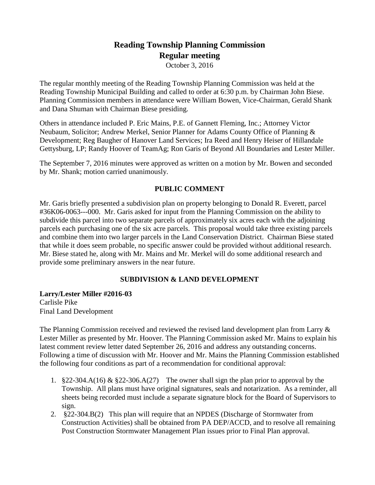# **Reading Township Planning Commission Regular meeting**

October 3, 2016

The regular monthly meeting of the Reading Township Planning Commission was held at the Reading Township Municipal Building and called to order at 6:30 p.m. by Chairman John Biese. Planning Commission members in attendance were William Bowen, Vice-Chairman, Gerald Shank and Dana Shuman with Chairman Biese presiding.

Others in attendance included P. Eric Mains, P.E. of Gannett Fleming, Inc.; Attorney Victor Neubaum, Solicitor; Andrew Merkel, Senior Planner for Adams County Office of Planning & Development; Reg Baugher of Hanover Land Services; Ira Reed and Henry Heiser of Hillandale Gettysburg, LP; Randy Hoover of TeamAg; Ron Garis of Beyond All Boundaries and Lester Miller.

The September 7, 2016 minutes were approved as written on a motion by Mr. Bowen and seconded by Mr. Shank; motion carried unanimously.

### **PUBLIC COMMENT**

Mr. Garis briefly presented a subdivision plan on property belonging to Donald R. Everett, parcel #36K06-0063---000. Mr. Garis asked for input from the Planning Commission on the ability to subdivide this parcel into two separate parcels of approximately six acres each with the adjoining parcels each purchasing one of the six acre parcels. This proposal would take three existing parcels and combine them into two larger parcels in the Land Conservation District. Chairman Biese stated that while it does seem probable, no specific answer could be provided without additional research. Mr. Biese stated he, along with Mr. Mains and Mr. Merkel will do some additional research and provide some preliminary answers in the near future.

## **SUBDIVISION & LAND DEVELOPMENT**

**Larry/Lester Miller #2016-03** Carlisle Pike Final Land Development

The Planning Commission received and reviewed the revised land development plan from Larry & Lester Miller as presented by Mr. Hoover. The Planning Commission asked Mr. Mains to explain his latest comment review letter dated September 26, 2016 and address any outstanding concerns. Following a time of discussion with Mr. Hoover and Mr. Mains the Planning Commission established the following four conditions as part of a recommendation for conditional approval:

- 1.  $§22-304.A(16) \& §22-306.A(27)$  The owner shall sign the plan prior to approval by the Township. All plans must have original signatures, seals and notarization. As a reminder, all sheets being recorded must include a separate signature block for the Board of Supervisors to sign.
- 2. §22-304.B(2) This plan will require that an NPDES (Discharge of Stormwater from Construction Activities) shall be obtained from PA DEP/ACCD, and to resolve all remaining Post Construction Stormwater Management Plan issues prior to Final Plan approval.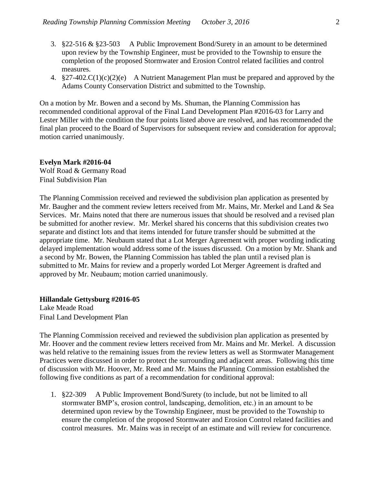- 3. §22-516 & §23-503 A Public Improvement Bond/Surety in an amount to be determined upon review by the Township Engineer, must be provided to the Township to ensure the completion of the proposed Stormwater and Erosion Control related facilities and control measures.
- 4. §27-402.C(1)(c)(2)(e) A Nutrient Management Plan must be prepared and approved by the Adams County Conservation District and submitted to the Township.

On a motion by Mr. Bowen and a second by Ms. Shuman, the Planning Commission has recommended conditional approval of the Final Land Development Plan #2016-03 for Larry and Lester Miller with the condition the four points listed above are resolved, and has recommended the final plan proceed to the Board of Supervisors for subsequent review and consideration for approval; motion carried unanimously.

#### **Evelyn Mark #2016-04**

Wolf Road & Germany Road Final Subdivision Plan

The Planning Commission received and reviewed the subdivision plan application as presented by Mr. Baugher and the comment review letters received from Mr. Mains, Mr. Merkel and Land & Sea Services. Mr. Mains noted that there are numerous issues that should be resolved and a revised plan be submitted for another review. Mr. Merkel shared his concerns that this subdivision creates two separate and distinct lots and that items intended for future transfer should be submitted at the appropriate time. Mr. Neubaum stated that a Lot Merger Agreement with proper wording indicating delayed implementation would address some of the issues discussed. On a motion by Mr. Shank and a second by Mr. Bowen, the Planning Commission has tabled the plan until a revised plan is submitted to Mr. Mains for review and a properly worded Lot Merger Agreement is drafted and approved by Mr. Neubaum; motion carried unanimously.

#### **Hillandale Gettysburg #2016-05**

Lake Meade Road Final Land Development Plan

The Planning Commission received and reviewed the subdivision plan application as presented by Mr. Hoover and the comment review letters received from Mr. Mains and Mr. Merkel. A discussion was held relative to the remaining issues from the review letters as well as Stormwater Management Practices were discussed in order to protect the surrounding and adjacent areas. Following this time of discussion with Mr. Hoover, Mr. Reed and Mr. Mains the Planning Commission established the following five conditions as part of a recommendation for conditional approval:

1. §22-309 A Public Improvement Bond/Surety (to include, but not be limited to all stormwater BMP's, erosion control, landscaping, demolition, etc.) in an amount to be determined upon review by the Township Engineer, must be provided to the Township to ensure the completion of the proposed Stormwater and Erosion Control related facilities and control measures. Mr. Mains was in receipt of an estimate and will review for concurrence.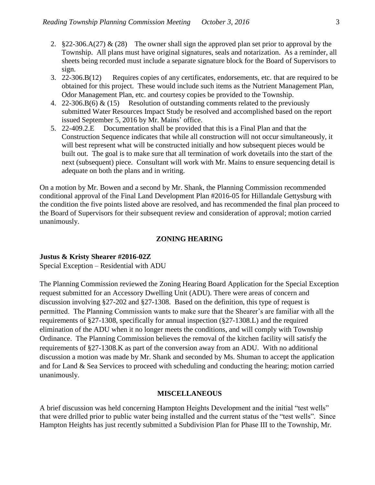- 2. §22-306.A(27) & (28) The owner shall sign the approved plan set prior to approval by the Township. All plans must have original signatures, seals and notarization. As a reminder, all sheets being recorded must include a separate signature block for the Board of Supervisors to sign.
- 3. 22-306.B(12) Requires copies of any certificates, endorsements, etc. that are required to be obtained for this project. These would include such items as the Nutrient Management Plan, Odor Management Plan, etc. and courtesy copies be provided to the Township.
- 4. 22-306.B(6) & (15) Resolution of outstanding comments related to the previously submitted Water Resources Impact Study be resolved and accomplished based on the report issued September 5, 2016 by Mr. Mains' office.
- 5. 22-409.2.E Documentation shall be provided that this is a Final Plan and that the Construction Sequence indicates that while all construction will not occur simultaneously, it will best represent what will be constructed initially and how subsequent pieces would be built out. The goal is to make sure that all termination of work dovetails into the start of the next (subsequent) piece. Consultant will work with Mr. Mains to ensure sequencing detail is adequate on both the plans and in writing.

On a motion by Mr. Bowen and a second by Mr. Shank, the Planning Commission recommended conditional approval of the Final Land Development Plan #2016-05 for Hillandale Gettysburg with the condition the five points listed above are resolved, and has recommended the final plan proceed to the Board of Supervisors for their subsequent review and consideration of approval; motion carried unanimously.

#### **ZONING HEARING**

#### **Justus & Kristy Shearer #2016-02Z**

Special Exception – Residential with ADU

The Planning Commission reviewed the Zoning Hearing Board Application for the Special Exception request submitted for an Accessory Dwelling Unit (ADU). There were areas of concern and discussion involving §27-202 and §27-1308. Based on the definition, this type of request is permitted. The Planning Commission wants to make sure that the Shearer's are familiar with all the requirements of §27-1308, specifically for annual inspection (§27-1308.L) and the required elimination of the ADU when it no longer meets the conditions, and will comply with Township Ordinance. The Planning Commission believes the removal of the kitchen facility will satisfy the requirements of §27-1308.K as part of the conversion away from an ADU. With no additional discussion a motion was made by Mr. Shank and seconded by Ms. Shuman to accept the application and for Land & Sea Services to proceed with scheduling and conducting the hearing; motion carried unanimously.

#### **MISCELLANEOUS**

A brief discussion was held concerning Hampton Heights Development and the initial "test wells" that were drilled prior to public water being installed and the current status of the "test wells". Since Hampton Heights has just recently submitted a Subdivision Plan for Phase III to the Township, Mr.